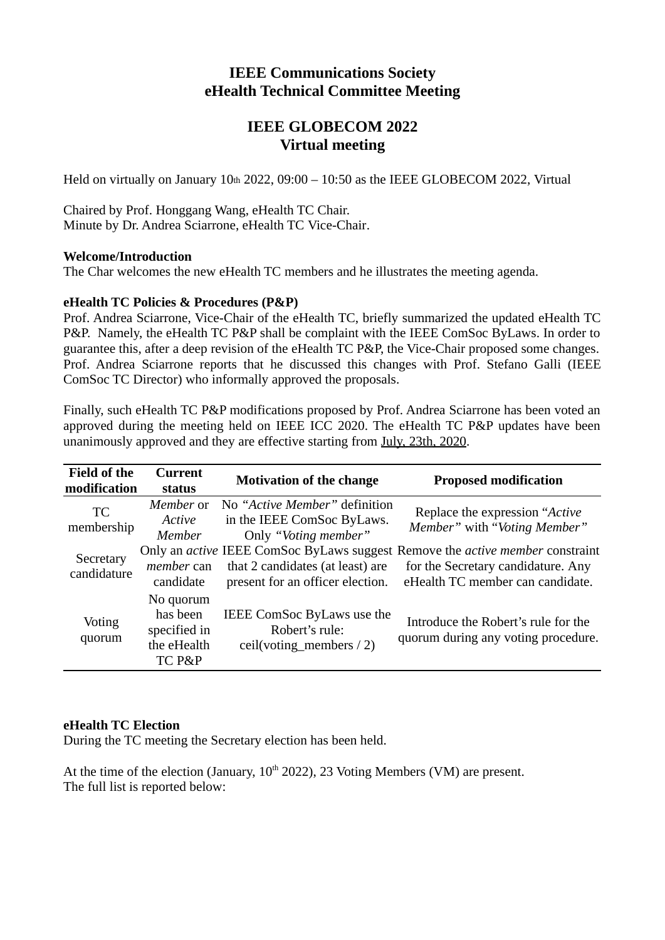# **IEEE Communications Society eHealth Technical Committee Meeting**

## **IEEE GLOBECOM 2022 Virtual meeting**

Held on virtually on January  $10<sub>th</sub> 2022$ ,  $09:00 - 10:50$  as the IEEE GLOBECOM 2022, Virtual

Chaired by Prof. Honggang Wang, eHealth TC Chair. Minute by Dr. Andrea Sciarrone, eHealth TC Vice-Chair.

#### **Welcome/Introduction**

The Char welcomes the new eHealth TC members and he illustrates the meeting agenda.

## **eHealth TC Policies & Procedures (P&P)**

Prof. Andrea Sciarrone, Vice-Chair of the eHealth TC, briefly summarized the updated eHealth TC P&P. Namely, the eHealth TC P&P shall be complaint with the IEEE ComSoc ByLaws. In order to guarantee this, after a deep revision of the eHealth TC P&P, the Vice-Chair proposed some changes. Prof. Andrea Sciarrone reports that he discussed this changes with Prof. Stefano Galli (IEEE ComSoc TC Director) who informally approved the proposals.

Finally, such eHealth TC P&P modifications proposed by Prof. Andrea Sciarrone has been voted an approved during the meeting held on IEEE ICC 2020. The eHealth TC P&P updates have been unanimously approved and they are effective starting from July, 23th, 2020.

| <b>Field of the</b><br>modification | Current<br>status                                              | <b>Motivation of the change</b>                                                     | <b>Proposed modification</b>                                                                                                                                          |
|-------------------------------------|----------------------------------------------------------------|-------------------------------------------------------------------------------------|-----------------------------------------------------------------------------------------------------------------------------------------------------------------------|
| <b>TC</b><br>membership             | Member or<br>Active<br>Member                                  | No "Active Member" definition<br>in the IEEE ComSoc ByLaws.<br>Only "Voting member" | Replace the expression "Active"<br>Member" with "Voting Member"                                                                                                       |
| Secretary<br>candidature            | member can<br>candidate                                        | that 2 candidates (at least) are<br>present for an officer election.                | Only an <i>active</i> IEEE ComSoc ByLaws suggest Remove the <i>active member</i> constraint<br>for the Secretary candidature. Any<br>eHealth TC member can candidate. |
| Voting<br>quorum                    | No quorum<br>has been<br>specified in<br>the eHealth<br>TC P&P | IEEE ComSoc ByLaws use the<br>Robert's rule:<br>ceil(voting_members $/ 2$ )         | Introduce the Robert's rule for the<br>quorum during any voting procedure.                                                                                            |

#### **eHealth TC Election**

During the TC meeting the Secretary election has been held.

At the time of the election (January,  $10<sup>th</sup>$  2022), 23 Voting Members (VM) are present. The full list is reported below: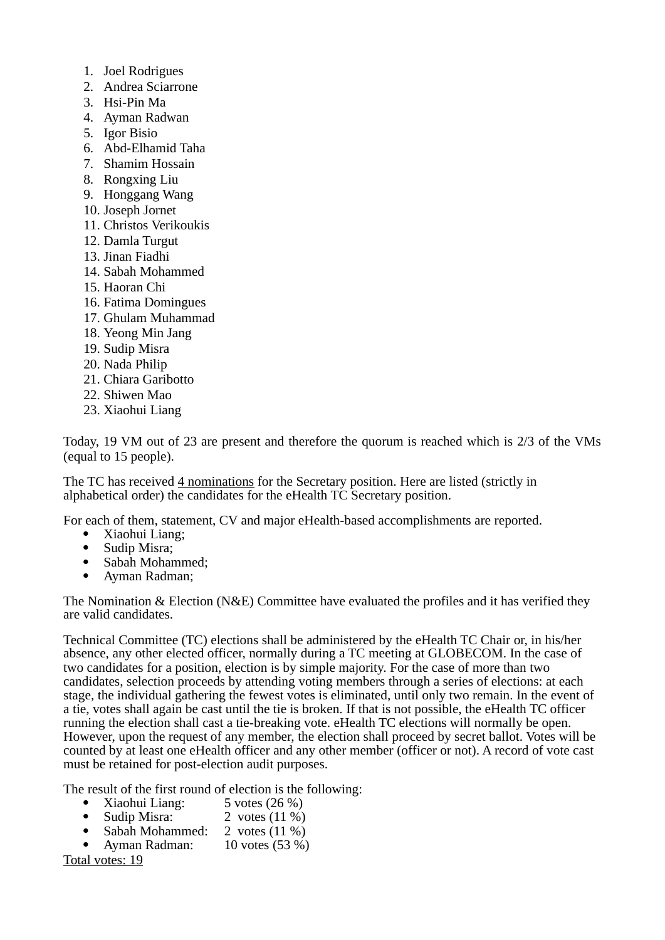- 1. Joel Rodrigues
- 2. Andrea Sciarrone
- 3. Hsi-Pin Ma
- 4. Ayman Radwan
- 5. Igor Bisio
- 6. Abd-Elhamid Taha
- 7. Shamim Hossain
- 8. Rongxing Liu
- 9. Honggang Wang
- 10. Joseph Jornet
- 11. Christos Verikoukis
- 12. Damla Turgut
- 13. Jinan Fiadhi
- 14. Sabah Mohammed
- 15. Haoran Chi
- 16. Fatima Domingues
- 17. Ghulam Muhammad
- 18. Yeong Min Jang
- 19. Sudip Misra
- 20. Nada Philip
- 21. Chiara Garibotto
- 22. Shiwen Mao
- 23. Xiaohui Liang

Today, 19 VM out of 23 are present and therefore the quorum is reached which is 2/3 of the VMs (equal to 15 people).

The TC has received 4 nominations for the Secretary position. Here are listed (strictly in alphabetical order) the candidates for the eHealth TC Secretary position.

For each of them, statement, CV and major eHealth-based accomplishments are reported.

- Xiaohui Liang;<br>• Sudin Misra:
- Sudip Misra;
- Sabah Mohammed;
- Ayman Radman;

The Nomination & Election (N&E) Committee have evaluated the profiles and it has verified they are valid candidates.

Technical Committee (TC) elections shall be administered by the eHealth TC Chair or, in his/her absence, any other elected officer, normally during a TC meeting at GLOBECOM. In the case of two candidates for a position, election is by simple majority. For the case of more than two candidates, selection proceeds by attending voting members through a series of elections: at each stage, the individual gathering the fewest votes is eliminated, until only two remain. In the event of a tie, votes shall again be cast until the tie is broken. If that is not possible, the eHealth TC officer running the election shall cast a tie-breaking vote. eHealth TC elections will normally be open. However, upon the request of any member, the election shall proceed by secret ballot. Votes will be counted by at least one eHealth officer and any other member (officer or not). A record of vote cast must be retained for post-election audit purposes.

The result of the first round of election is the following:<br>• Xiaohui Liang:  $5 \text{ votes} (26 \%)$ 

- Xiaohui Liang:<br>• Sudip Misra:
- 2 votes  $(11\%)$ <br>2 votes  $(11\%)$
- Sabah Mohammed:
- Ayman Radman: 10 votes (53 %)

Total votes: 19